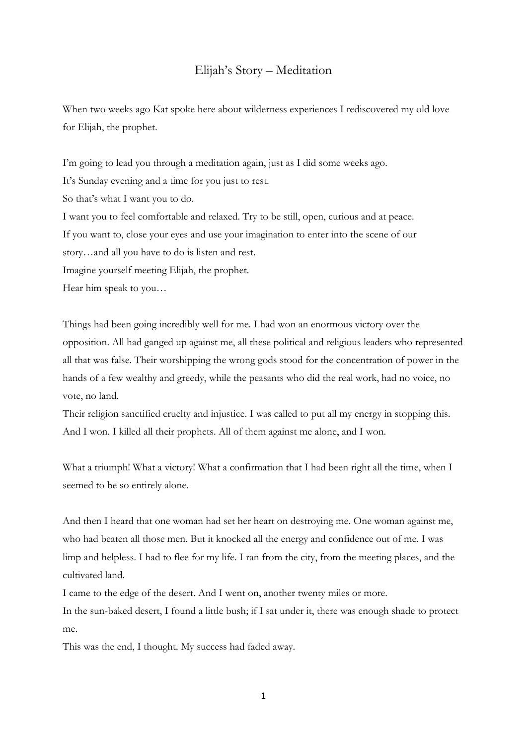## Elijah's Story – Meditation

When two weeks ago Kat spoke here about wilderness experiences I rediscovered my old love for Elijah, the prophet.

I'm going to lead you through a meditation again, just as I did some weeks ago. It's Sunday evening and a time for you just to rest. So that's what I want you to do. I want you to feel comfortable and relaxed. Try to be still, open, curious and at peace. If you want to, close your eyes and use your imagination to enter into the scene of our story…and all you have to do is listen and rest. Imagine yourself meeting Elijah, the prophet. Hear him speak to you…

Things had been going incredibly well for me. I had won an enormous victory over the opposition. All had ganged up against me, all these political and religious leaders who represented all that was false. Their worshipping the wrong gods stood for the concentration of power in the hands of a few wealthy and greedy, while the peasants who did the real work, had no voice, no vote, no land.

Their religion sanctified cruelty and injustice. I was called to put all my energy in stopping this. And I won. I killed all their prophets. All of them against me alone, and I won.

What a triumph! What a victory! What a confirmation that I had been right all the time, when I seemed to be so entirely alone.

And then I heard that one woman had set her heart on destroying me. One woman against me, who had beaten all those men. But it knocked all the energy and confidence out of me. I was limp and helpless. I had to flee for my life. I ran from the city, from the meeting places, and the cultivated land.

I came to the edge of the desert. And I went on, another twenty miles or more.

In the sun-baked desert, I found a little bush; if I sat under it, there was enough shade to protect me.

This was the end, I thought. My success had faded away.

1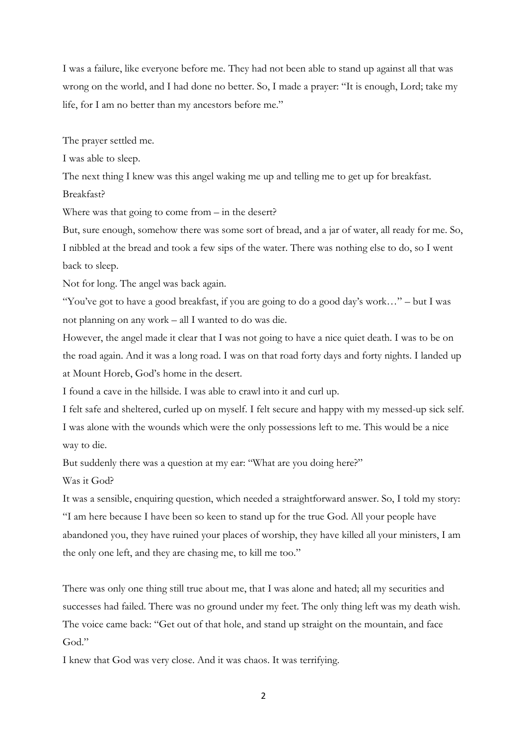I was a failure, like everyone before me. They had not been able to stand up against all that was wrong on the world, and I had done no better. So, I made a prayer: "It is enough, Lord; take my life, for I am no better than my ancestors before me."

The prayer settled me.

I was able to sleep.

The next thing I knew was this angel waking me up and telling me to get up for breakfast.

Breakfast?

Where was that going to come from – in the desert?

But, sure enough, somehow there was some sort of bread, and a jar of water, all ready for me. So, I nibbled at the bread and took a few sips of the water. There was nothing else to do, so I went back to sleep.

Not for long. The angel was back again.

"You've got to have a good breakfast, if you are going to do a good day's work…" – but I was not planning on any work – all I wanted to do was die.

However, the angel made it clear that I was not going to have a nice quiet death. I was to be on the road again. And it was a long road. I was on that road forty days and forty nights. I landed up at Mount Horeb, God's home in the desert.

I found a cave in the hillside. I was able to crawl into it and curl up.

I felt safe and sheltered, curled up on myself. I felt secure and happy with my messed-up sick self. I was alone with the wounds which were the only possessions left to me. This would be a nice way to die.

But suddenly there was a question at my ear: "What are you doing here?"

Was it God?

It was a sensible, enquiring question, which needed a straightforward answer. So, I told my story: "I am here because I have been so keen to stand up for the true God. All your people have abandoned you, they have ruined your places of worship, they have killed all your ministers, I am the only one left, and they are chasing me, to kill me too."

There was only one thing still true about me, that I was alone and hated; all my securities and successes had failed. There was no ground under my feet. The only thing left was my death wish. The voice came back: "Get out of that hole, and stand up straight on the mountain, and face God."

I knew that God was very close. And it was chaos. It was terrifying.